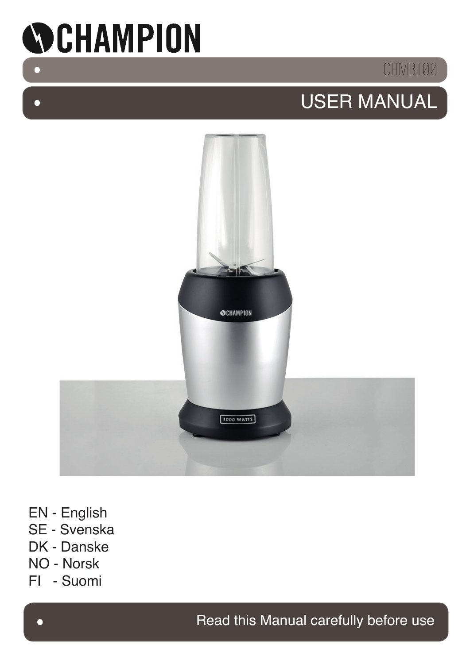

 $\bullet$ 

 $\Box$ 

## CHMB100

# USER MANUAL



- EN English
- SE Svenska
- DK Danske
- NO Norsk
- FI Suomi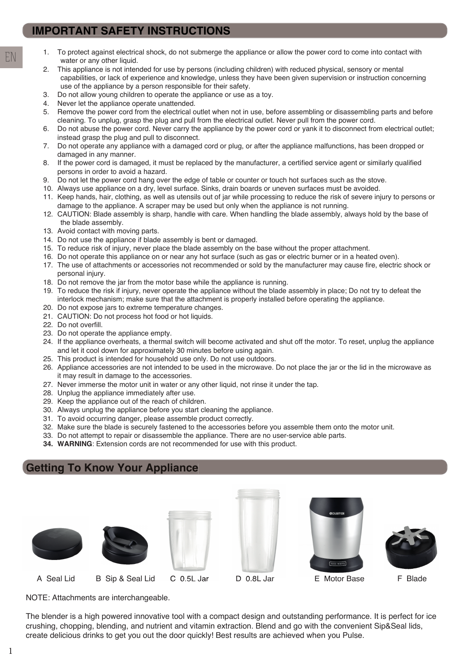- 1. To protect against electrical shock, do not submerge the appliance or allow the power cord to come into contact with water or any other liquid.
- 2. This appliance is not intended for use by persons (including children) with reduced physical, sensory or mental capabilities, or lack of experience and knowledge, unless they have been given supervision or instruction concerning use of the appliance by a person responsible for their safety.
- 3. Do not allow young children to operate the appliance or use as a toy.
- 4. Never let the appliance operate unattended.
- 5. Remove the power cord from the electrical outlet when not in use, before assembling or disassembling parts and before cleaning. To unplug, grasp the plug and pull from the electrical outlet. Never pull from the power cord.
- 6. Do not abuse the power cord. Never carry the appliance by the power cord or yank it to disconnect from electrical outlet; instead grasp the plug and pull to disconnect.
- 7. Do not operate any appliance with a damaged cord or plug, or after the appliance malfunctions, has been dropped or damaged in any manner.
- 8. If the power cord is damaged, it must be replaced by the manufacturer, a certified service agent or similarly qualified persons in order to avoid a hazard.
- 9. Do not let the power cord hang over the edge of table or counter or touch hot surfaces such as the stove.
- 10. Always use appliance on a dry, level surface. Sinks, drain boards or uneven surfaces must be avoided.
- 11. Keep hands, hair, clothing, as well as utensils out of jar while processing to reduce the risk of severe injury to persons or damage to the appliance. A scraper may be used but only when the appliance is not running.
- 12. CAUTION: Blade assembly is sharp, handle with care. When handling the blade assembly, always hold by the base of the blade assembly.
- 13. Avoid contact with moving parts.
- 14. Do not use the appliance if blade assembly is bent or damaged.
- 15. To reduce risk of injury, never place the blade assembly on the base without the proper attachment.
- 16. Do not operate this appliance on or near any hot surface (such as gas or electric burner or in a heated oven).
- 17. The use of attachments or accessories not recommended or sold by the manufacturer may cause fire, electric shock or personal injury.
- 18. Do not remove the jar from the motor base while the appliance is running.
- 19. To reduce the risk if injury, never operate the appliance without the blade assembly in place; Do not try to defeat the interlock mechanism; make sure that the attachment is properly installed before operating the appliance.
- 20. Do not expose jars to extreme temperature changes.
- 21. CAUTION: Do not process hot food or hot liquids.
- 22. Do not overfill.
- 23. Do not operate the appliance empty.
- 24. If the appliance overheats, a thermal switch will become activated and shut off the motor. To reset, unplug the appliance and let it cool down for approximately 30 minutes before using again.
- 25. This product is intended for household use only. Do not use outdoors.
- 26. Appliance accessories are not intended to be used in the microwave. Do not place the jar or the lid in the microwave as it may result in damage to the accessories.
- 27. Never immerse the motor unit in water or any other liquid, not rinse it under the tap.
- 28. Unplug the appliance immediately after use.
- 29. Keep the appliance out of the reach of children.
- 30. Always unplug the appliance before you start cleaning the appliance.
- 31. To avoid occurring danger, please assemble product correctly.
- 32. Make sure the blade is securely fastened to the accessories before you assemble them onto the motor unit.
- 33. Do not attempt to repair or disassemble the appliance. There are no user-service able parts.
- **34. WARNING**: Extension cords are not recommended for use with this product.

### **Getting To Know Your Appliance**













A Seal Lid B Sip & Seal Lid C 0.5L Jar D 0.8L Jar E Motor Base F Blade

NOTE: Attachments are interchangeable.

The blender is a high powered innovative tool with a compact design and outstanding performance. It is perfect for ice crushing, chopping, blending, and nutrient and vitamin extraction. Blend and go with the convenient Sip&Seal lids, create delicious drinks to get you out the door quickly! Best results are achieved when you Pulse.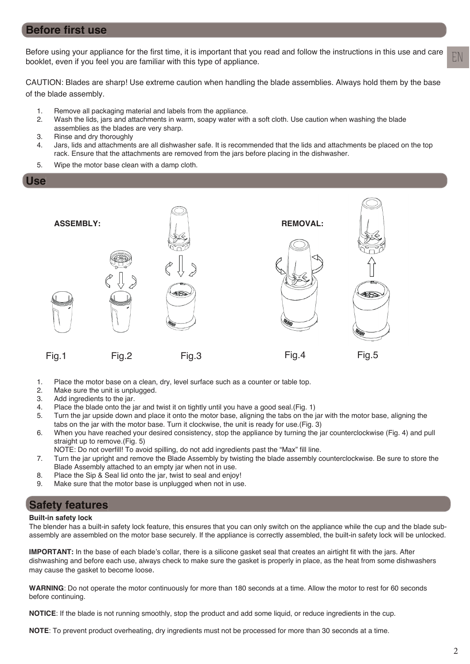### **Before first use**

Before using your appliance for the first time, it is important that you read and follow the instructions in this use and care booklet, even if you feel you are familiar with this type of appliance.

CAUTION: Blades are sharp! Use extreme caution when handling the blade assemblies. Always hold them by the base of the blade assembly.

- 1. Remove all packaging material and labels from the appliance.
- 2. Wash the lids, jars and attachments in warm, soapy water with a soft cloth. Use caution when washing the blade assemblies as the blades are very sharp.
- 3. Rinse and dry thoroughly
- 4. Jars, lids and attachments are all dishwasher safe. It is recommended that the lids and attachments be placed on the top rack. Ensure that the attachments are removed from the jars before placing in the dishwasher.
- 5. Wipe the motor base clean with a damp cloth.

**Use**



- 1. Place the motor base on a clean, dry, level surface such as a counter or table top.
- 2. Make sure the unit is unplugged.
- 3. Add ingredients to the jar.
- 4. Place the blade onto the jar and twist it on tightly until you have a good seal.(Fig. 1)
- 5. Turn the jar upside down and place it onto the motor base, aligning the tabs on the jar with the motor base, aligning the
- tabs on the jar with the motor base. Turn it clockwise, the unit is ready for use.(Fig. 3)<br>6. When vou have reached vour desired consistency, stop the appliance by turning the ja When you have reached your desired consistency, stop the appliance by turning the jar counterclockwise (Fig. 4) and pull straight up to remove.(Fig. 5)
	- NOTE: Do not overfill! To avoid spilling, do not add ingredients past the "Max" fill line.
- 7. Turn the jar upright and remove the Blade Assembly by twisting the blade assembly counterclockwise. Be sure to store the Blade Assembly attached to an empty jar when not in use.
- 8. Place the Sip & Seal lid onto the jar, twist to seal and enjoy!
- 9. Make sure that the motor base is unplugged when not in use.

### **Safety features**

#### **Built-in safety lock**

The blender has a built-in safety lock feature, this ensures that you can only switch on the appliance while the cup and the blade subassembly are assembled on the motor base securely. If the appliance is correctly assembled, the built-in safety lock will be unlocked.

**IMPORTANT:** In the base of each blade's collar, there is a silicone gasket seal that creates an airtight fit with the jars. After dishwashing and before each use, always check to make sure the gasket is properly in place, as the heat from some dishwashers may cause the gasket to become loose.

**WARNING**: Do not operate the motor continuously for more than 180 seconds at a time. Allow the motor to rest for 60 seconds before continuing.

**NOTICE**: If the blade is not running smoothly, stop the product and add some liquid, or reduce ingredients in the cup.

**NOTE**: To prevent product overheating, dry ingredients must not be processed for more than 30 seconds at a time.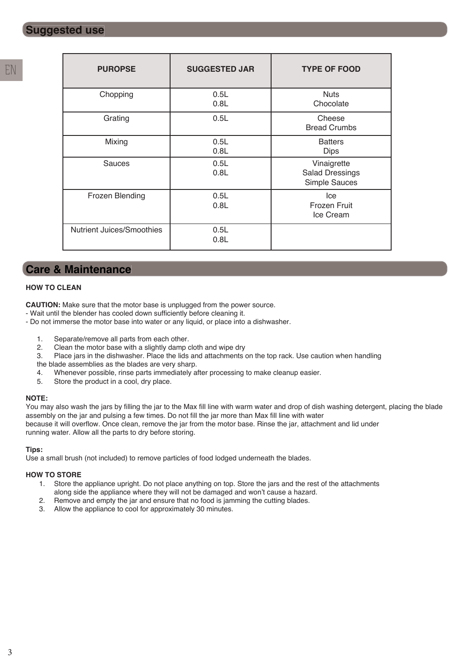| <b>PUROPSE</b>                   | <b>SUGGESTED JAR</b> | <b>TYPE OF FOOD</b>                                    |
|----------------------------------|----------------------|--------------------------------------------------------|
| Chopping                         | 0.5L<br>0.8L         | <b>Nuts</b><br>Chocolate                               |
| Grating                          | 0.5L                 | Cheese<br><b>Bread Crumbs</b>                          |
| Mixing                           | 0.5L<br>0.8L         | <b>Batters</b><br><b>Dips</b>                          |
| <b>Sauces</b>                    | 0.5L<br>0.8L         | Vinaigrette<br><b>Salad Dressings</b><br>Simple Sauces |
| Frozen Blending                  | 0.5L<br>0.8L         | Ice<br><b>Frozen Fruit</b><br>Ice Cream                |
| <b>Nutrient Juices/Smoothies</b> | 0.5L<br>0.8L         |                                                        |

### **Care & Maintenance**

#### **HOW TO CLEAN**

**CAUTION:** Make sure that the motor base is unplugged from the power source.

- Wait until the blender has cooled down sufficiently before cleaning it.
- Do not immerse the motor base into water or any liquid, or place into a dishwasher.
	- 1. Separate/remove all parts from each other.
	- 2. Clean the motor base with a slightly damp cloth and wipe dry
	- 3. Place jars in the dishwasher. Place the lids and attachments on the top rack. Use caution when handling
	- the blade assemblies as the blades are very sharp.
	- 4. Whenever possible, rinse parts immediately after processing to make cleanup easier.
	- 5. Store the product in a cool, dry place.

#### **NOTE:**

You may also wash the jars by filling the jar to the Max fill line with warm water and drop of dish washing detergent, placing the blade assembly on the jar and pulsing a few times. Do not fill the jar more than Max fill line with water because it will overflow. Once clean, remove the jar from the motor base. Rinse the jar, attachment and lid under running water. Allow all the parts to dry before storing.

#### **Tips:**

Use a small brush (not included) to remove particles of food lodged underneath the blades.

#### **HOW TO STORE**

- 1. Store the appliance upright. Do not place anything on top. Store the jars and the rest of the attachments along side the appliance where they will not be damaged and won't cause a hazard.
- 2. Remove and empty the jar and ensure that no food is jamming the cutting blades.
- 3. Allow the appliance to cool for approximately 30 minutes.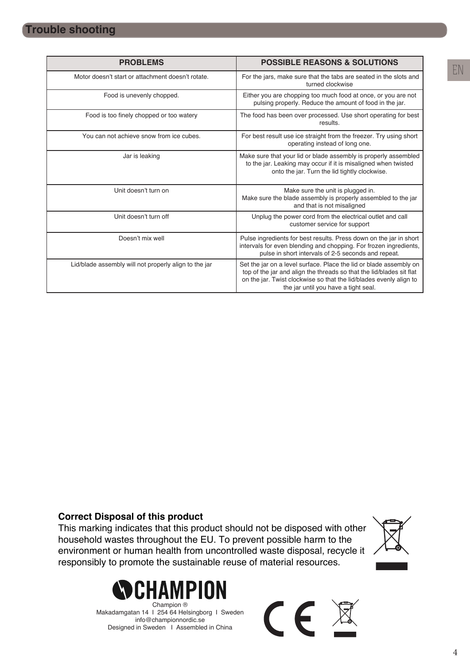| <b>PROBLEMS</b>                                       | <b>POSSIBLE REASONS &amp; SOLUTIONS</b>                                                                                                                                                                                                                  |
|-------------------------------------------------------|----------------------------------------------------------------------------------------------------------------------------------------------------------------------------------------------------------------------------------------------------------|
| Motor doesn't start or attachment doesn't rotate.     | For the jars, make sure that the tabs are seated in the slots and<br>turned clockwise                                                                                                                                                                    |
| Food is unevenly chopped.                             | Either you are chopping too much food at once, or you are not<br>pulsing properly. Reduce the amount of food in the jar.                                                                                                                                 |
| Food is too finely chopped or too watery              | The food has been over processed. Use short operating for best<br>results.                                                                                                                                                                               |
| You can not achieve snow from ice cubes.              | For best result use ice straight from the freezer. Try using short<br>operating instead of long one.                                                                                                                                                     |
| Jar is leaking                                        | Make sure that your lid or blade assembly is properly assembled<br>to the jar. Leaking may occur if it is misaligned when twisted<br>onto the jar. Turn the lid tightly clockwise.                                                                       |
| Unit doesn't turn on                                  | Make sure the unit is plugged in.<br>Make sure the blade assembly is properly assembled to the jar<br>and that is not misaligned                                                                                                                         |
| Unit doesn't turn off                                 | Unplug the power cord from the electrical outlet and call<br>customer service for support                                                                                                                                                                |
| Doesn't mix well                                      | Pulse ingredients for best results. Press down on the jar in short<br>intervals for even blending and chopping. For frozen ingredients,<br>pulse in short intervals of 2-5 seconds and repeat.                                                           |
| Lid/blade assembly will not properly align to the jar | Set the jar on a level surface. Place the lid or blade assembly on<br>top of the jar and align the threads so that the lid/blades sit flat<br>on the jar. Twist clockwise so that the lid/blades evenly align to<br>the jar until you have a tight seal. |

### **Correct Disposal of this product**

This marking indicates that this product should not be disposed with other household wastes throughout the EU. To prevent possible harm to the environment or human health from uncontrolled waste disposal, recycle it responsibly to promote the sustainable reuse of material resources.



Makadamgatan 14 I 254 64 Helsingborg I Sweden info@championnordic.se Designed in Sweden | Assembled in China

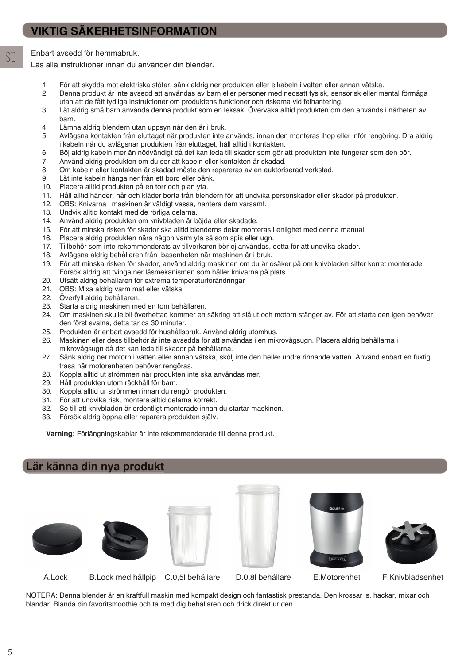## **VIKTIG SÄKERHETSINFORMATION**

SE Enbart avsedd för hemmabruk.

Läs alla instruktioner innan du använder din blender.

- 1. För att skydda mot elektriska stötar, sänk aldrig ner produkten eller elkabeln i vatten eller annan vätska.
- 2. Denna produkt är inte avsedd att användas av barn eller personer med nedsatt fysisk, sensorisk eller mental förmåga utan att de fått tydliga instruktioner om produktens funktioner och riskerna vid felhantering.
- 3. Låt aldrig små barn använda denna produkt som en leksak. Övervaka alltid produkten om den används i närheten av barn.
- 4. Lämna aldrig blendern utan uppsyn när den är i bruk.
- 5. Avlägsna kontakten från eluttaget när produkten inte används, innan den monteras ihop eller inför rengöring. Dra aldrig i kabeln när du avlägsnar produkten från eluttaget, håll alltid i kontakten.
- 6. Böj aldrig kabeln mer än nödvändigt då det kan leda till skador som gör att produkten inte fungerar som den bör.
- 7. Använd aldrig produkten om du ser att kabeln eller kontakten är skadad.
- 8. Om kabeln eller kontakten är skadad måste den repareras av en auktoriserad verkstad.
- 9. Låt inte kabeln hänga ner från ett bord eller bänk.
- 10. Placera alltid produkten på en torr och plan yta.
- 11. Håll alltid händer, hår och kläder borta från blendern för att undvika personskador eller skador på produkten.
- 12. OBS: Knivarna i maskinen är väldigt vassa, hantera dem varsamt.
- 13. Undvik alltid kontakt med de rörliga delarna.<br>14. Använd aldrig produkten om knivbladen är b
- 14. Använd aldrig produkten om knivbladen är böjda eller skadade.
- 15. För att minska risken för skador ska alltid blenderns delar monteras i enlighet med denna manual.
- 16. Placera aldrig produkten nära någon varm yta så som spis eller ugn.
- 17. Tillbehör som inte rekommenderats av tillverkaren bör ej användas, detta för att undvika skador.
- 18. Avlägsna aldrig behållaren från basenheten när maskinen är i bruk.
- 19. För att minska risken för skador, använd aldrig maskinen om du är osäker på om knivbladen sitter korret monterade. Försök aldrig att tvinga ner låsmekanismen som håller knivarna på plats.
- 20. Utsätt aldrig behållaren för extrema temperaturförändringar
- 21. OBS: Mixa aldrig varm mat eller vätska.
- 22. Överfyll aldrig behållaren.
- 23. Starta aldrig maskinen med en tom behållaren.
- 24. Om maskinen skulle bli överhettad kommer en säkring att slå ut och motorn stänger av. För att starta den igen behöver den först svalna, detta tar ca 30 minuter.
- 25. Produkten är enbart avsedd för hushållsbruk. Använd aldrig utomhus.
- 26. Maskinen eller dess tillbehör är inte avsedda för att användas i en mikrovågsugn. Placera aldrig behållarna i mikrovågsugn då det kan leda till skador på behållarna.
- 27. Sänk aldrig ner motorn i vatten eller annan vätska, skölj inte den heller undre rinnande vatten. Använd enbart en fuktig trasa när motorenheten behöver rengöras.
- 28. Koppla alltid ut strömmen när produkten inte ska användas mer.
- 29. Håll produkten utom räckhåll för barn.
- 30. Koppla alltid ur strömmen innan du rengör produkten.
- 31. För att undvika risk, montera alltid delarna korrekt.
- 32. Se till att knivbladen är ordentligt monterade innan du startar maskinen.
- 33. Försök aldrig öppna eller reparera produkten själv.

**Varning:** Förlängningskablar är inte rekommenderade till denna produkt.

### **Lär känna din nya produkt**













A.Lock B.Lock med hällpip C.0,5l behållare D.0,8l behållare E.Motorenhet F.Knivbladsenhet

NOTERA: Denna blender är en kraftfull maskin med kompakt design och fantastisk prestanda. Den krossar is, hackar, mixar och blandar. Blanda din favoritsmoothie och ta med dig behållaren och drick direkt ur den.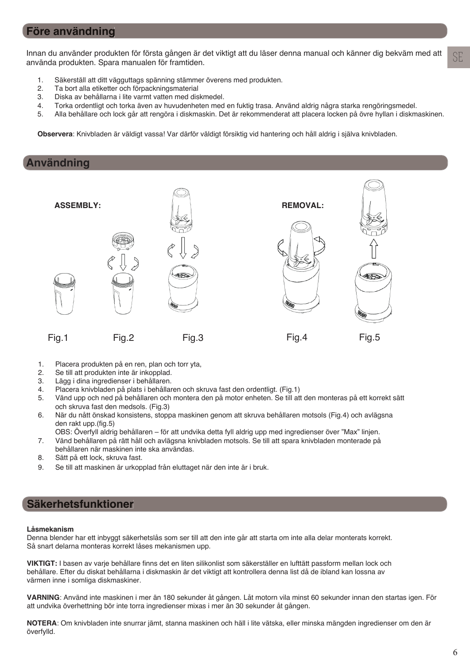### **Före användning**

Innan du använder produkten för första gången är det viktigt att du läser denna manual och känner dig bekväm med att använda produkten. Spara manualen för framtiden.

- 1. Säkerställ att ditt vägguttags spänning stämmer överens med produkten.
- 2. Ta bort alla etiketter och förpackningsmaterial
- 3. Diska av behållarna i lite varmt vatten med diskmedel.
- 4. Torka ordentligt och torka även av huvudenheten med en fuktig trasa. Använd aldrig några starka rengöringsmedel.
- 5. Alla behållare och lock går att rengöra i diskmaskin. Det är rekommenderat att placera locken på övre hyllan i diskmaskinen.

**Observera**: Knivbladen är väldigt vassa! Var därför väldigt försiktig vid hantering och håll aldrig i själva knivbladen.

### **Användning**



- 1. Placera produkten på en ren, plan och torr yta,
- 2. Se till att produkten inte är inkopplad.
- 3. Lägg i dina ingredienser i behållaren.
- 4. Placera knivbladen på plats i behållaren och skruva fast den ordentligt. (Fig.1)
- 5. Vänd upp och ned på behållaren och montera den på motor enheten. Se till att den monteras på ett korrekt sätt och skruva fast den medsols. (Fig.3)
- 6. När du nått önskad konsistens, stoppa maskinen genom att skruva behållaren motsols (Fig.4) och avlägsna den rakt upp.(fig.5)
	- OBS: Överfyll aldrig behållaren för att undvika detta fyll aldrig upp med ingredienser över "Max" linjen.
- 7. Vänd behållaren på rätt håll och avlägsna knivbladen motsols. Se till att spara knivbladen monterade på behållaren när maskinen inte ska användas.
- 8. Sätt på ett lock, skruva fast.
- 9. Se till att maskinen är urkopplad från eluttaget när den inte är i bruk.

### **Säkerhetsfunktioner**

#### **Låsmekanism**

Denna blender har ett inbyggt säkerhetslås som ser till att den inte går att starta om inte alla delar monterats korrekt. Så snart delarna monteras korrekt låses mekanismen upp.

VIKTIGT: I basen av varje behållare finns det en liten silikonlist som säkerställer en lufttätt passform mellan lock och behållare. Efter du diskat behållarna i diskmaskin är det viktigt att kontrollera denna list då de ibland kan lossna av värmen inne i somliga diskmaskiner.

**VARNING**: Använd inte maskinen i mer än 180 sekunder åt gången. Låt motorn vila minst 60 sekunder innan den startas igen. För att undvika överhettning bör inte torra ingredienser mixas i mer än 30 sekunder åt gången.

**NOTERA**: Om knivbladen inte snurrar jämt, stanna maskinen och häll i lite vätska, eller minska mängden ingredienser om den är överfylld.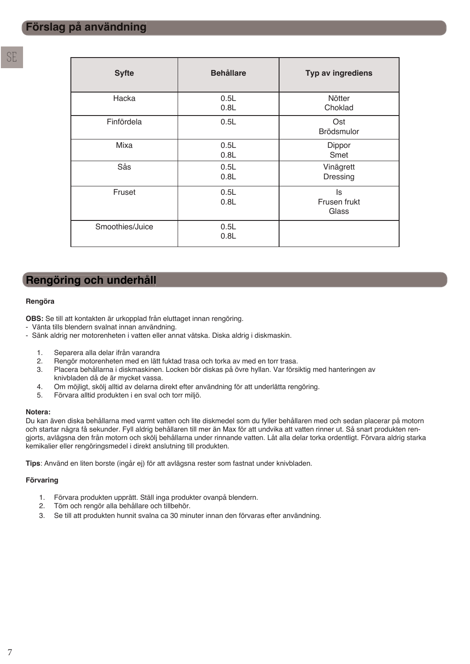| <b>Syfte</b>    | <b>Behållare</b> | Typ av ingrediens           |
|-----------------|------------------|-----------------------------|
| Hacka           | 0.5L<br>0.8L     | Nötter<br>Choklad           |
| Finfördela      | 0.5L             | Ost<br>Brödsmulor           |
| Mixa            | 0.5L<br>0.8L     | Dippor<br>Smet              |
| Sås             | 0.5L<br>0.8L     | Vinägrett<br>Dressing       |
| Fruset          | 0.5L<br>0.8L     | ls<br>Frusen frukt<br>Glass |
| Smoothies/Juice | 0.5L<br>0.8L     |                             |

### **Rengöring och underhåll**

#### **Rengöra**

**OBS:** Se till att kontakten är urkopplad från eluttaget innan rengöring.

- Vänta tills blendern svalnat innan användning.
- Sänk aldrig ner motorenheten i vatten eller annat vätska. Diska aldrig i diskmaskin.
	- 1. Separera alla delar ifrån varandra
	- 2. Rengör motorenheten med en lätt fuktad trasa och torka av med en torr trasa.
	- 3. Placera behållarna i diskmaskinen. Locken bör diskas på övre hyllan. Var försiktig med hanteringen av knivbladen då de är mycket vassa.
	- 4. Om möjligt, skölj alltid av delarna direkt efter användning för att underlätta rengöring.
	- 5. Förvara alltid produkten i en sval och torr miljö.

#### **Notera:**

Du kan även diska behållarna med varmt vatten och lite diskmedel som du fyller behållaren med och sedan placerar på motorn och startar några få sekunder. Fyll aldrig behållaren till mer än Max för att undvika att vatten rinner ut. Så snart produkten rengjorts, avlägsna den från motorn och skölj behållarna under rinnande vatten. Låt alla delar torka ordentligt. Förvara aldrig starka kemikalier eller rengöringsmedel i direkt anslutning till produkten.

**Tips**: Använd en liten borste (ingår ej) för att avlägsna rester som fastnat under knivbladen.

#### **Förvaring**

- 1. Förvara produkten upprätt. Ställ inga produkter ovanpå blendern.
- 2. Töm och rengör alla behållare och tillbehör.
- 3. Se till att produkten hunnit svalna ca 30 minuter innan den förvaras efter användning.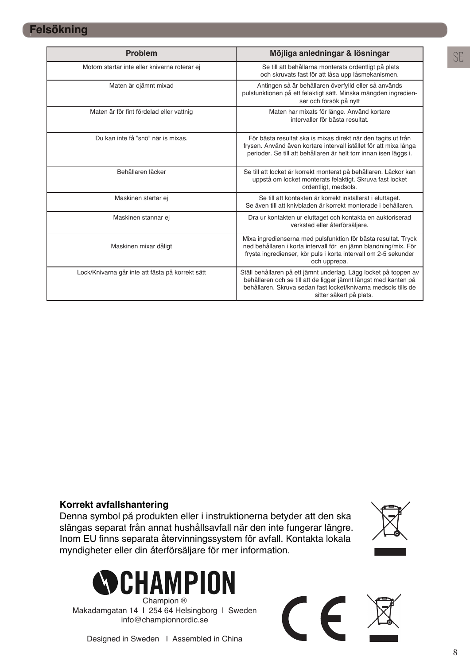| <b>Problem</b>                                   | Möjliga anledningar & lösningar                                                                                                                                                                                                  |
|--------------------------------------------------|----------------------------------------------------------------------------------------------------------------------------------------------------------------------------------------------------------------------------------|
| Motorn startar inte eller knivarna roterar ej    | Se till att behållarna monterats ordentligt på plats<br>och skruvats fast för att låsa upp låsmekanismen.                                                                                                                        |
| Maten är ojämnt mixad                            | Antingen så är behållaren överfylld eller så används<br>pulsfunktionen på ett felaktigt sätt. Minska mängden ingredien-<br>ser och försök på nytt                                                                                |
| Maten är för fint fördelad eller vattnig         | Maten har mixats för länge. Använd kortare<br>intervaller för bästa resultat.                                                                                                                                                    |
| Du kan inte få "snö" när is mixas.               | För bästa resultat ska is mixas direkt när den tagits ut från<br>frysen. Använd även kortare intervall istället för att mixa långa<br>perioder. Se till att behållaren är helt torr innan isen läggs i.                          |
| Behållaren läcker                                | Se till att locket är korrekt monterat på behållaren. Läckor kan<br>uppstå om locket monterats felaktigt. Skruva fast locket<br>ordentligt, medsols.                                                                             |
| Maskinen startar ej                              | Se till att kontakten är korrekt installerat i eluttaget.<br>Se även till att knivbladen är korrekt monterade i behållaren.                                                                                                      |
| Maskinen stannar ej                              | Dra ur kontakten ur eluttaget och kontakta en auktoriserad<br>verkstad eller återförsäljare.                                                                                                                                     |
| Maskinen mixar dåligt                            | Mixa ingredienserna med pulsfunktion för bästa resultat. Tryck<br>ned behållaren i korta intervall för en jämn blandning/mix. För<br>frysta ingredienser, kör puls i korta intervall om 2-5 sekunder<br>och upprepa.             |
| Lock/Knivarna går inte att fästa på korrekt sätt | Ställ behållaren på ett jämnt underlag. Lägg locket på toppen av<br>behållaren och se till att de ligger jämnt längst med kanten på<br>behållaren. Skruva sedan fast locket/knivarna medsols tills de<br>sitter säkert på plats. |

### **Korrekt avfallshantering**

Denna symbol på produkten eller i instruktionerna betyder att den ska slängas separat från annat hushållsavfall när den inte fungerar längre. Inom EU finns separata återvinningssystem för avfall. Kontakta lokala myndigheter eller din återförsäljare för mer information.





Champion ® Makadamgatan 14 I 254 64 Helsingborg I Sweden info@championnordic.se



Designed in Sweden I Assembled in China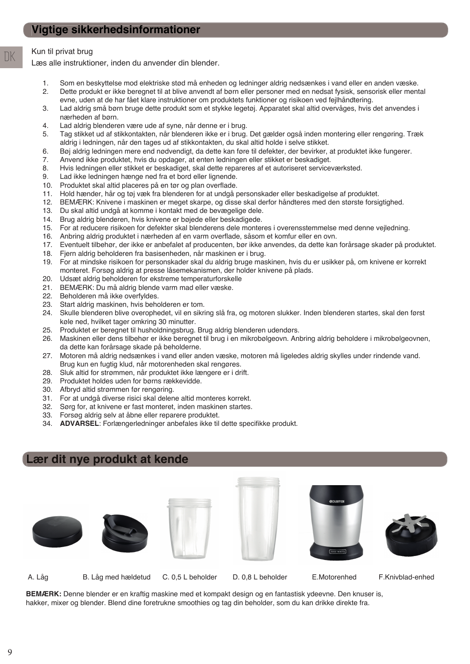### Kun til privat brug

DK

Læs alle instruktioner, inden du anvender din blender.

- 1. Som en beskyttelse mod elektriske stød må enheden og ledninger aldrig nedsænkes i vand eller en anden væske.
- 2. Dette produkt er ikke beregnet til at blive anvendt af børn eller personer med en nedsat fysisk, sensorisk eller mental evne, uden at de har fået klare instruktioner om produktets funktioner og risikoen ved fejlhåndtering.
- 3. Lad aldrig små børn bruge dette produkt som et stykke legetøj. Apparatet skal altid overvåges, hvis det anvendes i nærheden af børn.
- 4. Lad aldrig blenderen være ude af syne, når denne er i brug.
- 5. Tag stikket ud af stikkontakten, når blenderen ikke er i brug. Det gælder også inden montering eller rengøring. Træk aldrig i ledningen, når den tages ud af stikkontakten, du skal altid holde i selve stikket.
- 6. Bøj aldrig ledningen mere end nødvendigt, da dette kan føre til defekter, der bevirker, at produktet ikke fungerer.
- 7. Anvend ikke produktet, hvis du opdager, at enten ledningen eller stikket er beskadiget.
- 8. Hvis ledningen eller stikket er beskadiget, skal dette repareres af et autoriseret serviceværksted.
- 9. Lad ikke ledningen hænge ned fra et bord eller lignende.
- 10. Produktet skal altid placeres på en tør og plan overflade.
- 11. Hold hænder, hår og tøj væk fra blenderen for at undgå personskader eller beskadigelse af produktet.
- 12. BEMÆRK: Knivene i maskinen er meget skarpe, og disse skal derfor håndteres med den største forsigtighed.
- 13. Du skal altid undgå at komme i kontakt med de bevægelige dele.
- 14. Brug aldrig blenderen, hvis knivene er bøjede eller beskadigede.
- 15. For at reducere risikoen for defekter skal blenderens dele monteres i overensstemmelse med denne vejledning.
- 16. Anbring aldrig produktet i nærheden af en varm overflade, såsom et komfur eller en ovn.
- 17. Eventuelt tilbehør, der ikke er anbefalet af producenten, bør ikke anvendes, da dette kan forårsage skader på produktet.
- 18. Fjern aldrig beholderen fra basisenheden, når maskinen er i brug.
- 19. For at mindske risikoen for personskader skal du aldrig bruge maskinen, hvis du er usikker på, om knivene er korrekt monteret. Forsøg aldrig at presse låsemekanismen, der holder knivene på plads.
- 20. Udsæt aldrig beholderen for ekstreme temperaturforskelle
- 21. BEMÆRK: Du må aldrig blende varm mad eller væske.
- 22. Beholderen må ikke overfyldes.
- 23. Start aldrig maskinen, hvis beholderen er tom.
- 24. Skulle blenderen blive overophedet, vil en sikring slå fra, og motoren slukker. Inden blenderen startes, skal den først køle ned, hvilket tager omkring 30 minutter.
- 25. Produktet er beregnet til husholdningsbrug. Brug aldrig blenderen udendørs.
- 26. Maskinen eller dens tilbehør er ikke beregnet til brug i en mikrobølgeovn. Anbring aldrig beholdere i mikrobølgeovnen, da dette kan forårsage skade på beholderne.
- 27. Motoren må aldrig nedsænkes i vand eller anden væske, motoren må ligeledes aldrig skylles under rindende vand. Brug kun en fugtig klud, når motorenheden skal rengøres.
- 28. Sluk altid for strømmen, når produktet ikke længere er i drift.
- 29. Produktet holdes uden for børns rækkevidde.
- 30. Afbryd altid strømmen før rengøring.
- 31. For at undgå diverse risici skal delene altid monteres korrekt.
- 32. Sørg for, at knivene er fast monteret, inden maskinen startes.
- 33. Forsøg aldrig selv at åbne eller reparere produktet.
- 34. **ADVARSEL:** Forlængerledninger anbefales ikke til dette specifikke produkt.

### **Lær dit nye produkt at kende**











A. Låg B. Låg med hældetud C. 0,5 L beholder D. 0,8 L beholder E.Motorenhed F.Knivblad-enhed

**BEMÆRK:** Denne blender er en kraftig maskine med et kompakt design og en fantastisk ydeevne. Den knuser is, hakker, mixer og blender. Blend dine foretrukne smoothies og tag din beholder, som du kan drikke direkte fra.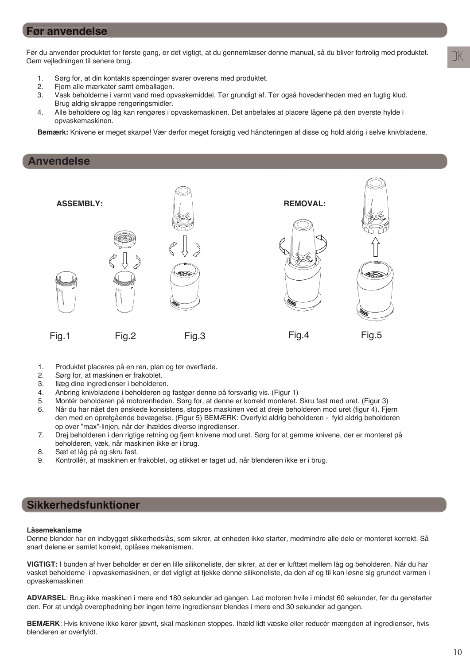### **Før anvendelse**

Før du anvender produktet for første gang, er det vigtigt, at du gennemlæser denne manual, så du bliver fortrolig med produktet. Gem vejledningen til senere brug.

- 1. Sørg for, at din kontakts spændinger svarer overens med produktet.
- 2. Fjern alle mærkater samt emballagen.
- 3. Vask beholderne i varmt vand med opvaskemiddel. Tør grundigt af. Tør også hovedenheden med en fugtig klud. Brug aldrig skrappe rengøringsmidler.
- 4. Alle beholdere og låg kan rengøres i opvaskemaskinen. Det anbefales at placere lågene på den øverste hylde i opvaskemaskinen.

**Bemærk:** Knivene er meget skarpe! Vær derfor meget forsigtig ved håndteringen af disse og hold aldrig i selve knivbladene.

#### **Anvendelse**



- 1. Produktet placeres på en ren, plan og tør overflade.
- 2. Sørg for, at maskinen er frakoblet.
- 3. Ilæg dine ingredienser i beholderen.
- 4. Anbring knivbladene i beholderen og fastgør denne på forsvarlig vis. (Figur 1)
- 5. Montér beholderen på motorenheden. Sørg for, at denne er korrekt monteret. Skru fast med uret. (Figur 3)
- 6. Når du har nået den ønskede konsistens, stoppes maskinen ved at dreje beholderen mod uret (figur 4). Fjern den med en opretgående bevægelse. (Figur 5) BEMÆRK: Overfyld aldrig beholderen - fyld aldrig beholderen op over "max"-linjen, når der ihældes diverse ingredienser.
- 7. Drej beholderen i den rigtige retning og fjern knivene mod uret. Sørg for at gemme knivene, der er monteret på beholderen, væk, når maskinen ikke er i brug.
- 8. Sæt et låg på og skru fast.
- 9. Kontrollér, at maskinen er frakoblet, og stikket er taget ud, når blenderen ikke er i brug.

### **Sikkerhedsfunktioner**

#### **Låsemekanisme**

Denne blender har en indbygget sikkerhedslås, som sikrer, at enheden ikke starter, medmindre alle dele er monteret korrekt. Så snart delene er samlet korrekt, oplåses mekanismen.

**VIGTIGT:** I bunden af hver beholder er der en lille silikoneliste, der sikrer, at der er lufttæt mellem låg og beholderen. Når du har vasket beholderne i opvaskemaskinen, er det vigtigt at tjekke denne silikoneliste, da den af og til kan løsne sig grundet varmen i opvaskemaskinen

**ADVARSEL**: Brug ikke maskinen i mere end 180 sekunder ad gangen. Lad motoren hvile i mindst 60 sekunder, før du genstarter den. For at undgå overophedning bør ingen tørre ingredienser blendes i mere end 30 sekunder ad gangen.

**BEMÆRK**: Hvis knivene ikke kører jævnt, skal maskinen stoppes. Ihæld lidt væske eller reducér mængden af ingredienser, hvis blenderen er overfyldt.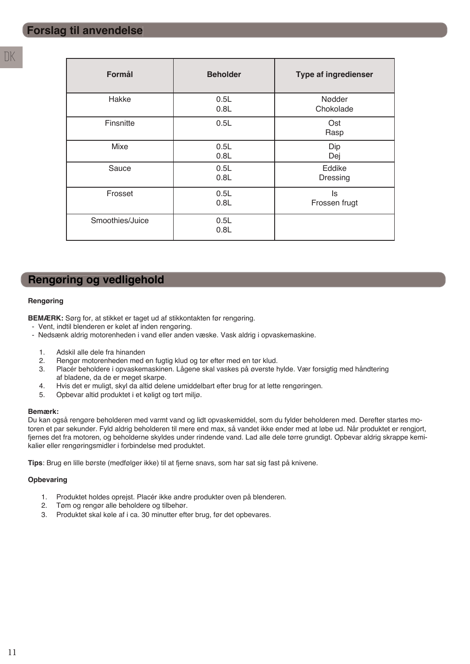| Formål          | <b>Beholder</b> | <b>Type af ingredienser</b> |
|-----------------|-----------------|-----------------------------|
| Hakke           | 0.5L<br>0.8L    | Nødder<br>Chokolade         |
| Finsnitte       | 0.5L            | Ost<br>Rasp                 |
| Mixe            | 0.5L<br>0.8L    | Dip<br>Dej                  |
| Sauce           | 0.5L<br>0.8L    | Eddike<br>Dressing          |
| Frosset         | 0.5L<br>0.8L    | ls<br>Frossen frugt         |
| Smoothies/Juice | 0.5L<br>0.8L    |                             |

### **Rengøring og vedligehold**

#### **Rengøring**

**BEMÆRK:** Sørg for, at stikket er taget ud af stikkontakten før rengøring.

- Vent, indtil blenderen er kølet af inden rengøring.
- Nedsænk aldrig motorenheden i vand eller anden væske. Vask aldrig i opvaskemaskine.
	- 1. Adskil alle dele fra hinanden
	- 2. Rengør motorenheden med en fugtig klud og tør efter med en tør klud.
	- 3. Placér beholdere i opvaskemaskinen. Lågene skal vaskes på øverste hylde. Vær forsigtig med håndtering af bladene, da de er meget skarpe.<br>4. Hyjs det er muligt, skyl da altid dele
	- 4. Hvis det er muligt, skyl da altid delene umiddelbart efter brug for at lette rengøringen.
	- 5. Opbevar altid produktet i et køligt og tørt miljø.

#### **Bemærk:**

Du kan også rengøre beholderen med varmt vand og lidt opvaskemiddel, som du fylder beholderen med. Derefter startes motoren et par sekunder. Fyld aldrig beholderen til mere end max, så vandet ikke ender med at løbe ud. Når produktet er rengjort, fjernes det fra motoren, og beholderne skyldes under rindende vand. Lad alle dele tørre grundigt. Opbevar aldrig skrappe kemikalier eller rengøringsmidler i forbindelse med produktet.

**Tips**: Brug en lille børste (medfølger ikke) til at fjerne snavs, som har sat sig fast på knivene.

#### **Opbevaring**

- 1. Produktet holdes oprejst. Placér ikke andre produkter oven på blenderen.
- 2. Tøm og rengør alle beholdere og tilbehør.
- 3. Produktet skal køle af i ca. 30 minutter efter brug, før det opbevares.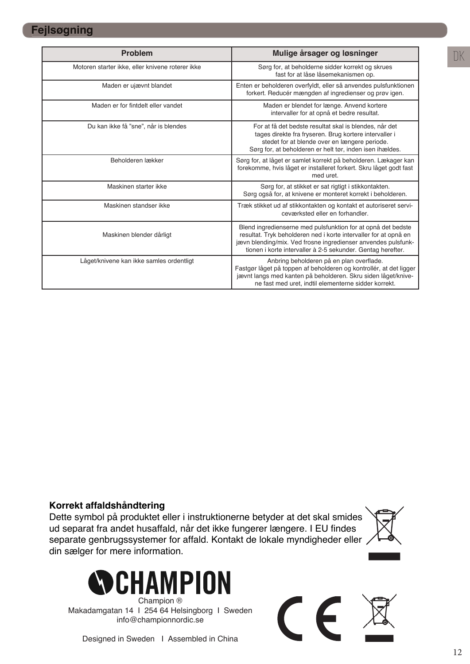### **Fejlsøgning**

| <b>Problem</b>                                   | Mulige årsager og løsninger                                                                                                                                                                                                                                      |
|--------------------------------------------------|------------------------------------------------------------------------------------------------------------------------------------------------------------------------------------------------------------------------------------------------------------------|
| Motoren starter ikke, eller knivene roterer ikke | Sørg for, at beholderne sidder korrekt og skrues<br>fast for at låse låsemekanismen op.                                                                                                                                                                          |
| Maden er ujævnt blandet                          | Enten er beholderen overfyldt, eller så anvendes pulsfunktionen<br>forkert. Reducér mængden af ingredienser og prøv igen.                                                                                                                                        |
| Maden er for fintdelt eller vandet               | Maden er blendet for længe. Anvend kortere<br>intervaller for at opnå et bedre resultat.                                                                                                                                                                         |
| Du kan ikke få "sne", når is blendes             | For at få det bedste resultat skal is blendes, når det<br>tages direkte fra fryseren. Brug kortere intervaller i<br>stedet for at blende over en længere periode.<br>Sørg for, at beholderen er helt tør, inden isen ihældes.                                    |
| Beholderen lækker                                | Sørg for, at låget er samlet korrekt på beholderen. Lækager kan<br>forekomme, hvis låget er installeret forkert. Skru låget godt fast<br>med uret.                                                                                                               |
| Maskinen starter ikke                            | Sørg for, at stikket er sat rigtigt i stikkontakten.<br>Sørg også for, at knivene er monteret korrekt i beholderen.                                                                                                                                              |
| Maskinen standser ikke                           | Træk stikket ud af stikkontakten og kontakt et autoriseret servi-<br>ceværksted eller en forhandler.                                                                                                                                                             |
| Maskinen blender dårligt                         | Blend ingredienserne med pulsfunktion for at opnå det bedste<br>resultat. Tryk beholderen ned i korte intervaller for at opnå en<br>jævn blending/mix. Ved frosne ingredienser anvendes pulsfunk-<br>tionen i korte intervaller à 2-5 sekunder. Gentag herefter. |
| Låget/knivene kan ikke samles ordentligt         | Anbring beholderen på en plan overflade.<br>Fastgør låget på toppen af beholderen og kontrollér, at det ligger<br>jævnt langs med kanten på beholderen. Skru siden låget/knive-<br>ne fast med uret, indtil elementerne sidder korrekt.                          |

### **Korrekt affaldshåndtering**

Dette symbol på produktet eller i instruktionerne betyder at det skal smides ud separat fra andet husaffald, når det ikke fungerer længere. I EU findes separate genbrugssystemer for affald. Kontakt de lokale myndigheder eller din sælger for mere information.



Champion ® Makadamgatan 14 I 254 64 Helsingborg I Sweden info@championnordic.se



#### Designed in Sweden I Assembled in China

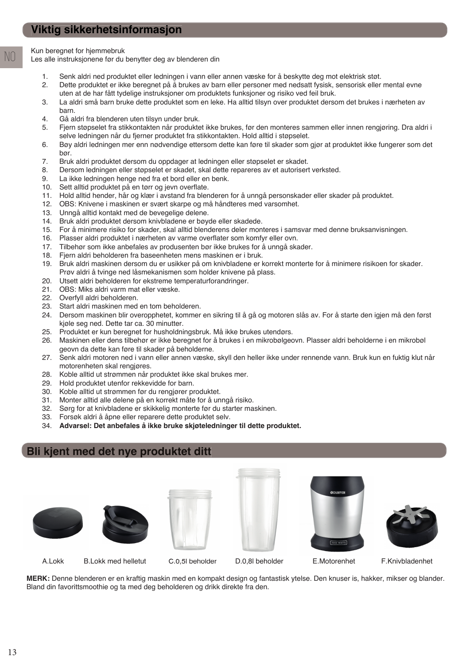Kun beregnet for hjemmebruk

NO

Les alle instruksjonene før du benytter deg av blenderen din

- 1. Senk aldri ned produktet eller ledningen i vann eller annen væske for å beskytte deg mot elektrisk støt.
- 2. Dette produktet er ikke beregnet på å brukes av barn eller personer med nedsatt fysisk, sensorisk eller mental evne uten at de har fått tydelige instruksjoner om produktets funksjoner og risiko ved feil bruk.
- 3. La aldri små barn bruke dette produktet som en leke. Ha alltid tilsyn over produktet dersom det brukes i nærheten av barn.
- 4. Gå aldri fra blenderen uten tilsyn under bruk.
- 5. Fjern støpselet fra stikkontakten når produktet ikke brukes, før den monteres sammen eller innen rengjøring. Dra aldri i selve ledningen når du fjerner produktet fra stikkontakten. Hold alltid i støpselet.
- 6. Bøy aldri ledningen mer enn nødvendige ettersom dette kan føre til skader som gjør at produktet ikke fungerer som det bør.
- 7. Bruk aldri produktet dersom du oppdager at ledningen eller støpselet er skadet.
- 8. Dersom ledningen eller støpselet er skadet, skal dette repareres av et autorisert verksted.
- 9. La ikke ledningen henge ned fra et bord eller en benk.
- 10. Sett alltid produktet på en tørr og jevn overflate.
- 11. Hold alltid hender, hår og klær i avstand fra blenderen for å unngå personskader eller skader på produktet.
- 12. OBS: Knivene i maskinen er svært skarpe og må håndteres med varsomhet.
- 13. Unngå alltid kontakt med de bevegelige delene.
- 14. Bruk aldri produktet dersom knivbladene er bøyde eller skadede.
- 15. For å minimere risiko for skader, skal alltid blenderens deler monteres i samsvar med denne bruksanvisningen.
- 16. Plasser aldri produktet i nærheten av varme overflater som komfyr eller ovn.
- 17. Tilbehør som ikke anbefales av produsenten bør ikke brukes for å unngå skader.
- 18. Fjern aldri beholderen fra baseenheten mens maskinen er i bruk.
- 19. Bruk aldri maskinen dersom du er usikker på om knivbladene er korrekt monterte for å minimere risikoen for skader. Prøv aldri å tvinge ned låsmekanismen som holder knivene på plass.
- 20. Utsett aldri beholderen for ekstreme temperaturforandringer.
- 21. OBS: Miks aldri varm mat eller væske.
- 22. Overfyll aldri beholderen.
- 23. Start aldri maskinen med en tom beholderen.
- 24. Dersom maskinen blir overopphetet, kommer en sikring til å gå og motoren slås av. For å starte den igjen må den først kjøle seg ned. Dette tar ca. 30 minutter.
- 25. Produktet er kun beregnet for husholdningsbruk. Må ikke brukes utendørs.
- 26. Maskinen eller dens tilbehør er ikke beregnet for å brukes i en mikrobølgeovn. Plasser aldri beholderne i en mikrobøl geovn da dette kan føre til skader på beholderne.
- 27. Senk aldri motoren ned i vann eller annen væske, skyll den heller ikke under rennende vann. Bruk kun en fuktig klut når motorenheten skal rengjøres.
- 28. Koble alltid ut strømmen når produktet ikke skal brukes mer.
- 29. Hold produktet utenfor rekkevidde for barn.
- 30. Koble alltid ut strømmen før du rengjører produktet.
- 31. Monter alltid alle delene på en korrekt måte for å unngå risiko.
- 32. Sørg for at knivbladene er skikkelig monterte før du starter maskinen.
- 33. Forsøk aldri å åpne eller reparere dette produktet selv.
- 34. **Advarsel: Det anbefales å ikke bruke skjøteledninger til dette produktet.**

### **Bli kjent med det nye produktet ditt**













A.Lokk B.Lokk med helletut C.0,5l beholder D.0,8l beholder E.Motorenhet F.Knivbladenhet

**MERK:** Denne blenderen er en kraftig maskin med en kompakt design og fantastisk ytelse. Den knuser is, hakker, mikser og blander. Bland din favorittsmoothie og ta med deg beholderen og drikk direkte fra den.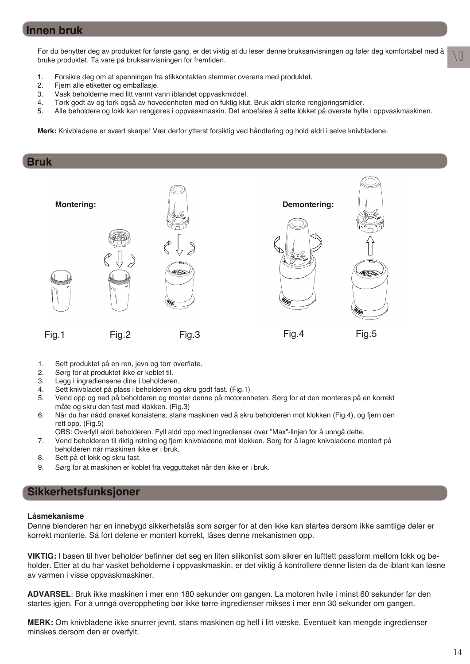### **Innen bruk**

Før du benytter deg av produktet for første gang, er det viktig at du leser denne bruksanvisningen og føler deg komfortabel med å bruke produktet. Ta vare på bruksanvisningen for fremtiden.

- 1. Forsikre deg om at spenningen fra stikkontakten stemmer overens med produktet.
- 2. Fjern alle etiketter og emballasje.<br>3. Vask beholderne med litt varmt va
- Vask beholderne med litt varmt vann iblandet oppvaskmiddel.
- 4. Tørk godt av og tørk også av hovedenheten med en fuktig klut. Bruk aldri sterke rengjøringsmidler.
- 5. Alle beholdere og lokk kan rengjøres i oppvaskmaskin. Det anbefales å sette lokket på øverste hylle i oppvaskmaskinen.

**Merk:** Knivbladene er svært skarpe! Vær derfor ytterst forsiktig ved håndtering og hold aldri i selve knivbladene.

#### **Bruk**



- 1. Sett produktet på en ren, jevn og tørr overflate.
- 2. Sørg for at produktet ikke er koblet til.
- 3. Legg i ingrediensene dine i beholderen.
- 4. Sett knivbladet på plass i beholderen og skru godt fast. (Fig.1)
- 5. Vend opp og ned på beholderen og monter denne på motorenheten. Sørg for at den monteres på en korrekt måte og skru den fast med klokken. (Fig.3)
- 6. Når du har nådd ønsket konsistens, stans maskinen ved å skru beholderen mot klokken (Fig.4), og fjern den rett opp. (Fig.5)
	- OBS: Overfyll aldri beholderen. Fyll aldri opp med ingredienser over "Max"-linjen for å unngå dette.
- 7. Vend beholderen til riktig retning og fjern knivbladene mot klokken. Sørg for å lagre knivbladene montert på beholderen når maskinen ikke er i bruk.
- 8. Sett på et lokk og skru fast.
- 9. Sørg for at maskinen er koblet fra vegguttaket når den ikke er i bruk.

### **Sikkerhetsfunksjoner**

#### **Låsmekanisme**

Denne blenderen har en innebygd sikkerhetslås som sørger for at den ikke kan startes dersom ikke samtlige deler er korrekt monterte. Så fort delene er montert korrekt, låses denne mekanismen opp.

VIKTIG: I basen til hver beholder befinner det seg en liten silikonlist som sikrer en lufttett passform mellom lokk og beholder. Etter at du har vasket beholderne i oppvaskmaskin, er det viktig å kontrollere denne listen da de iblant kan løsne av varmen i visse oppvaskmaskiner.

**ADVARSEL**: Bruk ikke maskinen i mer enn 180 sekunder om gangen. La motoren hvile i minst 60 sekunder før den startes igjen. For å unngå overoppheting bør ikke tørre ingredienser mikses i mer enn 30 sekunder om gangen.

**MERK:** Om knivbladene ikke snurrer jevnt, stans maskinen og hell i litt væske. Eventuelt kan mengde ingredienser minskes dersom den er overfylt.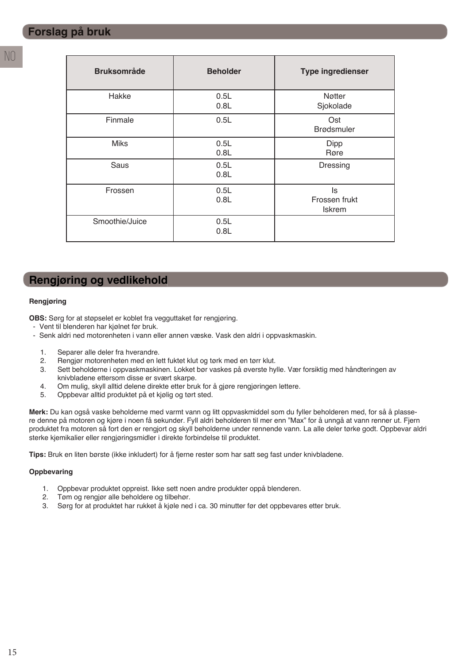| <b>Bruksområde</b> | <b>Beholder</b> | <b>Type ingredienser</b>             |
|--------------------|-----------------|--------------------------------------|
| Hakke              | 0.5L<br>0.8L    | Nøtter<br>Sjokolade                  |
| Finmale            | 0.5L            | Ost<br><b>Brødsmuler</b>             |
| <b>Miks</b>        | 0.5L<br>0.8L    | <b>Dipp</b><br>Røre                  |
| Saus               | 0.5L<br>0.8L    | Dressing                             |
| Frossen            | 0.5L<br>0.8L    | ls<br>Frossen frukt<br><b>Iskrem</b> |
| Smoothie/Juice     | 0.5L<br>0.8L    |                                      |

### **Rengjøring og vedlikehold**

#### **Rengjøring**

**OBS:** Sørg for at støpselet er koblet fra vegguttaket før rengjøring.

- Vent til blenderen har kjølnet før bruk.
- Senk aldri ned motorenheten i vann eller annen væske. Vask den aldri i oppvaskmaskin.
	- 1. Separer alle deler fra hverandre.
	- 2. Rengjør motorenheten med en lett fuktet klut og tørk med en tørr klut.
	- 3. Sett beholderne i oppvaskmaskinen. Lokket bør vaskes på øverste hylle. Vær forsiktig med håndteringen av knivbladene ettersom disse er svært skarpe.
	- 4. Om mulig, skyll alltid delene direkte etter bruk for å gjøre rengjøringen lettere.<br>5. Oppbevar alltid produktet på et kiølig og tørt sted.
	- 5. Oppbevar alltid produktet på et kjølig og tørt sted.

**Merk:** Du kan også vaske beholderne med varmt vann og litt oppvaskmiddel som du fyller beholderen med, for så å plassere denne på motoren og kjøre i noen få sekunder. Fyll aldri beholderen til mer enn "Max" for å unngå at vann renner ut. Fjern produktet fra motoren så fort den er rengjort og skyll beholderne under rennende vann. La alle deler tørke godt. Oppbevar aldri sterke kjemikalier eller rengjøringsmidler i direkte forbindelse til produktet.

**Tips:** Bruk en liten børste (ikke inkludert) for å fjerne rester som har satt seg fast under knivbladene.

#### **Oppbevaring**

- 1. Oppbevar produktet oppreist. Ikke sett noen andre produkter oppå blenderen.
- 2. Tøm og rengjør alle beholdere og tilbehør.
- 3. Sørg for at produktet har rukket å kjøle ned i ca. 30 minutter før det oppbevares etter bruk.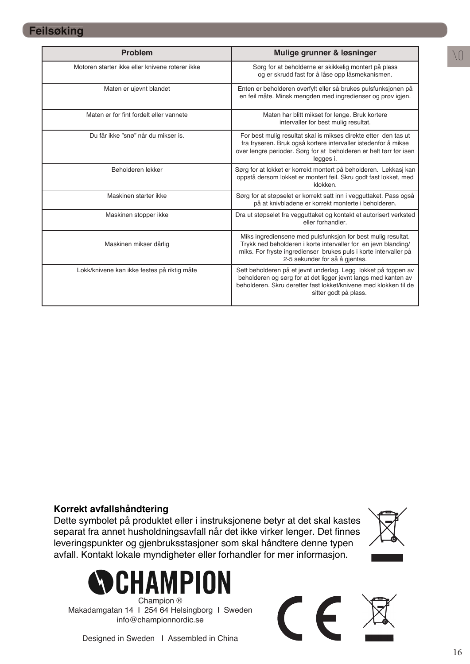### **Feilsøking**

| <b>Problem</b>                                  | Mulige grunner & løsninger                                                                                                                                                                                                           |
|-------------------------------------------------|--------------------------------------------------------------------------------------------------------------------------------------------------------------------------------------------------------------------------------------|
| Motoren starter ikke eller knivene roterer ikke | Sørg for at beholderne er skikkelig montert på plass<br>og er skrudd fast for å låse opp låsmekanismen.                                                                                                                              |
| Maten er ujevnt blandet                         | Enten er beholderen overfylt eller så brukes pulsfunksjonen på<br>en feil måte. Minsk mengden med ingredienser og prøv igjen.                                                                                                        |
| Maten er for fint fordelt eller vannete         | Maten har blitt mikset for lenge. Bruk kortere<br>intervaller for best mulig resultat.                                                                                                                                               |
| Du får ikke "snø" når du mikser is              | For best muliq resultat skal is mikses direkte etter den tas ut<br>fra fryseren. Bruk også kortere intervaller istedenfor å mikse<br>over lengre perioder. Sørg for at beholderen er helt tørr før isen<br>legges i.                 |
| Beholderen lekker                               | Sørg for at lokket er korrekt montert på beholderen. Lekkasj kan<br>oppstå dersom lokket er montert feil. Skru godt fast lokket, med<br>klokken                                                                                      |
| Maskinen starter ikke                           | Sørg for at støpselet er korrekt satt inn i vegguttaket. Pass også<br>på at knivbladene er korrekt monterte i beholderen.                                                                                                            |
| Maskinen stopper ikke                           | Dra ut støpselet fra vegguttaket og kontakt et autorisert verksted<br>eller forhandler.                                                                                                                                              |
| Maskinen mikser dårlig                          | Miks ingrediensene med pulsfunksjon for best mulig resultat.<br>Trykk ned beholderen i korte intervaller for en jevn blanding/<br>miks. For fryste ingredienser brukes puls i korte intervaller på<br>2-5 sekunder for så å gientas. |
| Lokk/knivene kan ikke festes på riktig måte     | Sett beholderen på et jevnt underlag. Legg lokket på toppen av<br>beholderen og sørg for at det ligger jevnt langs med kanten av<br>beholderen. Skru deretter fast lokket/knivene med klokken til de<br>sitter godt på plass.        |

### **Korrekt avfallshåndtering**

Dette symbolet på produktet eller i instruksjonene betyr at det skal kastes separat fra annet husholdningsavfall når det ikke virker lenger. Det finnes leveringspunkter og gjenbruksstasjoner som skal håndtere denne typen avfall. Kontakt lokale myndigheter eller forhandler for mer informasjon.



Champion ® Makadamgatan 14 I 254 64 Helsingborg I Sweden info@championnordic.se



 $\epsilon$ 

Designed in Sweden I Assembled in China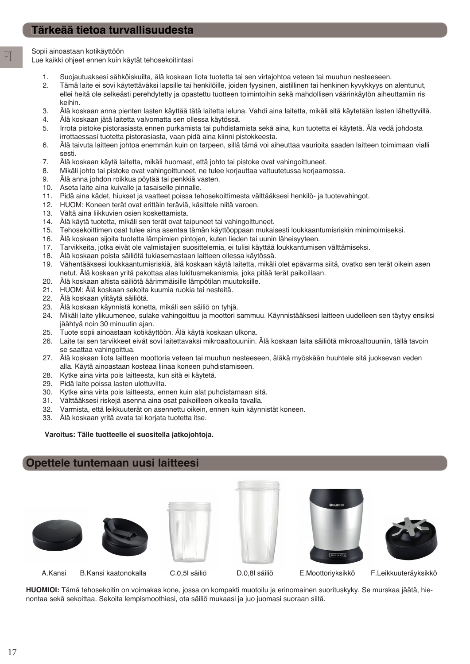Sopii ainoastaan kotikäyttöön

FI

Lue kaikki ohjeet ennen kuin käytät tehosekoitintasi

- 1. Suojautuaksesi sähköiskuilta, älä koskaan liota tuotetta tai sen virtajohtoa veteen tai muuhun nesteeseen.
- 2. Tämä laite ei sovi käytettäväksi lapsille tai henkilöille, joiden fyysinen, aistillinen tai henkinen kyvykkyys on alentunut, ellei heitä ole selkeästi perehdytetty ja opastettu tuotteen toimintoihin sekä mahdollisen väärinkäytön aiheuttamiin ris keihin.
- 3. Älä koskaan anna pienten lasten käyttää tätä laitetta leluna. Vahdi aina laitetta, mikäli sitä käytetään lasten lähettyvillä.
- 4. Älä koskaan jätä laitetta valvomatta sen ollessa käytössä.
- 5. Irrota pistoke pistorasiasta ennen purkamista tai puhdistamista sekä aina, kun tuotetta ei käytetä. Älä vedä johdosta irrottaessasi tuotetta pistorasiasta, vaan pidä aina kiinni pistokkeesta.
- 6. Älä taivuta laitteen johtoa enemmän kuin on tarpeen, sillä tämä voi aiheuttaa vaurioita saaden laitteen toimimaan vialli sesti.
- 7. Älä koskaan käytä laitetta, mikäli huomaat, että johto tai pistoke ovat vahingoittuneet.
- 8. Mikäli johto tai pistoke ovat vahingoittuneet, ne tulee korjauttaa valtuutetussa korjaamossa.
- 9. Älä anna johdon roikkua pöytää tai penkkiä vasten.
- 10. Aseta laite aina kuivalle ja tasaiselle pinnalle.
- 11. Pidä aina kädet, hiukset ja vaatteet poissa tehosekoittimesta välttääksesi henkilö- ja tuotevahingot.
- 12. HUOM: Koneen terät ovat erittäin teräviä, käsittele niitä varoen.
- 13. Vältä aina liikkuvien osien koskettamista.
- 14. Älä käytä tuotetta, mikäli sen terät ovat taipuneet tai vahingoittuneet.
- 15. Tehosekoittimen osat tulee aina asentaa tämän käyttöoppaan mukaisesti loukkaantumisriskin minimoimiseksi. 16. Älä koskaan sijoita tuotetta lämpimien pintojen, kuten lieden tai uunin läheisyyteen.
- 
- 17. Tarvikkeita, jotka eivät ole valmistajien suosittelemia, ei tulisi käyttää loukkantumisen välttämiseksi.
- 18. Älä koskaan poista säiliötä tukiasemastaan laitteen ollessa käytössä.
- 19. Vähentääksesi loukkaantumisriskiä, älä koskaan käytä laitetta, mikäli olet epävarma siitä, ovatko sen terät oikein asen netut. Älä koskaan yritä pakottaa alas lukitusmekanismia, joka pitää terät paikoillaan.
- 20. Älä koskaan altista säiliötä äärimmäisille lämpötilan muutoksille.
- 21. HUOM: Älä koskaan sekoita kuumia ruokia tai nesteitä.
- 22. Älä koskaan ylitäytä säiliötä.
- 23. Älä koskaan käynnistä konetta, mikäli sen säiliö on tyhjä.
- 24. Mikäli laite ylikuumenee, sulake vahingoittuu ja moottori sammuu. Käynnistääksesi laitteen uudelleen sen täytyy ensiksi
- jäähtyä noin 30 minuutin ajan.<br>25. Tuote sopii ainoastaan kotikäy 25. Tuote sopii ainoastaan kotikäyttöön. Älä käytä koskaan ulkona.
- 26. Laite tai sen tarvikkeet eivät sovi laitettavaksi mikroaaltouuniin. Älä koskaan laita säiliötä mikroaaltouuniin, tällä tavoin se saattaa vahingoittua.
- 27. Älä koskaan liota laitteen moottoria veteen tai muuhun nesteeseen, äläkä myöskään huuhtele sitä juoksevan veden alla. Käytä ainoastaan kosteaa liinaa koneen puhdistamiseen.
- 28. Kytke aina virta pois laitteesta, kun sitä ei käytetä.
- 29. Pidä laite poissa lasten ulottuvilta.
- 30. Kytke aina virta pois laitteesta, ennen kuin alat puhdistamaan sitä.
- 31. Välttääksesi riskejä asenna aina osat paikoilleen oikealla tavalla.
- 32. Varmista, että leikkuuterät on asennettu oikein, ennen kuin käynnistät koneen.
- 33. Älä koskaan yritä avata tai korjata tuotetta itse.

#### **Varoitus: Tälle tuotteelle ei suositella jatkojohtoja.**

### **Opettele tuntemaan uusi laitteesi**





A.Kansi B.Kansi kaatonokalla C.0,5l säiliö D.0,8l säiliö E.Moottoriyksikkö F.Leikkuuteräyksikkö





**HUOMIOI:** Tämä tehosekoitin on voimakas kone, jossa on kompakti muotoilu ja erinomainen suorituskyky. Se murskaa jäätä, hienontaa sekä sekoittaa. Sekoita lempismoothiesi, ota säiliö mukaasi ja juo juomasi suoraan siitä.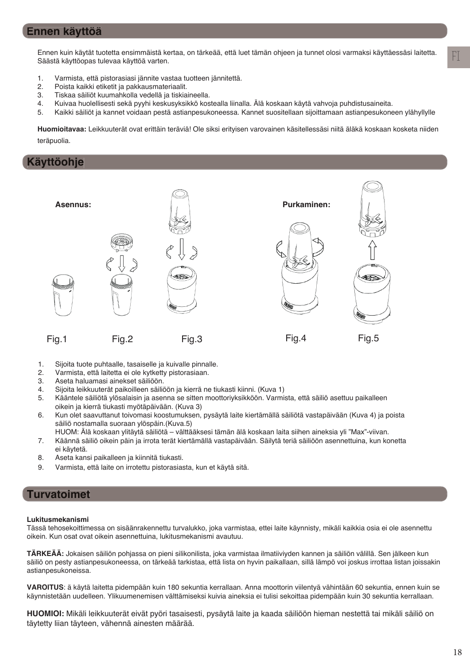### **Ennen käyttöä**

Ennen kuin käytät tuotetta ensimmäistä kertaa, on tärkeää, että luet tämän ohjeen ja tunnet olosi varmaksi käyttäessäsi laitetta. Säästä käyttöopas tulevaa käyttöä varten.

- 1. Varmista, että pistorasiasi jännite vastaa tuotteen jännitettä.
- 2. Poista kaikki etiketit ja pakkausmateriaalit.
- 3. Tiskaa säiliöt kuumahkolla vedellä ja tiskiaineella.
- 4. Kuivaa huolellisesti sekä pyyhi keskusyksikkö kostealla liinalla. Älä koskaan käytä vahvoja puhdistusaineita.
- 5. Kaikki säiliöt ja kannet voidaan pestä astianpesukoneessa. Kannet suositellaan sijoittamaan astianpesukoneen ylähyllylle

**Huomioitavaa:** Leikkuuterät ovat erittäin teräviä! Ole siksi erityisen varovainen käsitellessäsi niitä äläkä koskaan kosketa niiden teräpuolia.

### **Käyttöohje**



- 1. Sijoita tuote puhtaalle, tasaiselle ja kuivalle pinnalle.
- 2. Varmista, että laitetta ei ole kytketty pistorasiaan.
- 3. Aseta haluamasi ainekset säiliöön.
- 4. Sijoita leikkuuterät paikoilleen säiliöön ja kierrä ne tiukasti kiinni. (Kuva 1)
- 5. Kääntele säiliötä ylösalaisin ja asenna se sitten moottoriyksikköön. Varmista, että säiliö asettuu paikalleen oikein ja kierrä tiukasti myötäpäivään. (Kuva 3)
- 6. Kun olet saavuttanut toivomasi koostumuksen, pysäytä laite kiertämällä säiliötä vastapäivään (Kuva 4) ja poista säiliö nostamalla suoraan ylöspäin.(Kuva.5)
	- HUOM: Älä koskaan ylitäytä säiliötä välttääksesi tämän älä koskaan laita siihen aineksia yli "Max"-viivan.
- 7. Käännä säiliö oikein päin ja irrota terät kiertämällä vastapäivään. Säilytä teriä säiliöön asennettuina, kun konetta ei käytetä.
- 8. Aseta kansi paikalleen ja kiinnitä tiukasti.
- 9. Varmista, että laite on irrotettu pistorasiasta, kun et käytä sitä.

### **Turvatoimet**

#### **Lukitusmekanismi**

Tässä tehosekoittimessa on sisäänrakennettu turvalukko, joka varmistaa, ettei laite käynnisty, mikäli kaikkia osia ei ole asennettu oikein. Kun osat ovat oikein asennettuina, lukitusmekanismi avautuu.

**TÄRKEÄÄ:** Jokaisen säiliön pohjassa on pieni silikonilista, joka varmistaa ilmatiiviyden kannen ja säiliön välillä. Sen jälkeen kun säiliö on pesty astianpesukoneessa, on tärkeää tarkistaa, että lista on hyvin paikallaan, sillä lämpö voi joskus irrottaa listan joissakin astianpesukoneissa.

**VAROITUS**: ä käytä laitetta pidempään kuin 180 sekuntia kerrallaan. Anna moottorin viilentyä vähintään 60 sekuntia, ennen kuin se käynnistetään uudelleen. Ylikuumenemisen välttämiseksi kuivia aineksia ei tulisi sekoittaa pidempään kuin 30 sekuntia kerrallaan.

**HUOMIOI:** Mikäli leikkuuterät eivät pyöri tasaisesti, pysäytä laite ja kaada säiliöön hieman nestettä tai mikäli säiliö on täytetty liian täyteen, vähennä ainesten määrää.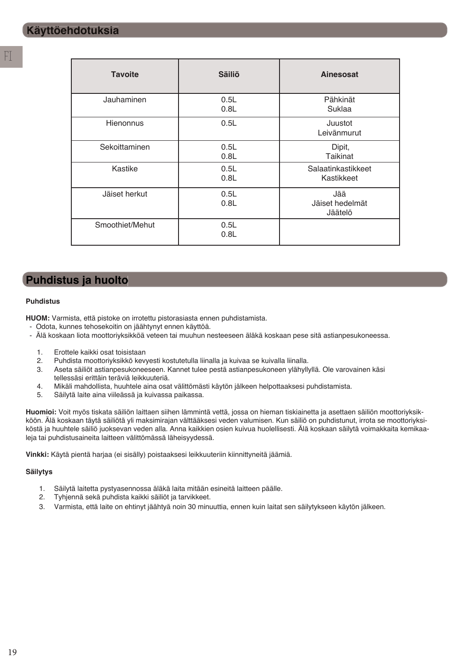| <b>Tavoite</b>  | <b>Säiliö</b> | Ainesosat                         |
|-----------------|---------------|-----------------------------------|
| Jauhaminen      | 0.5L<br>0.8L  | Pähkinät<br>Suklaa                |
| Hienonnus       | 0.5L          | Juustot<br>Leivänmurut            |
| Sekoittaminen   | 0.5L<br>0.8L  | Dipit,<br><b>Taikinat</b>         |
| Kastike         | 0.5L<br>0.8L  | Salaatinkastikkeet<br>Kastikkeet  |
| Jäiset herkut   | 0.5L<br>0.8L  | Jää<br>Jäiset hedelmät<br>Jäätelö |
| Smoothiet/Mehut | 0.5L<br>0.8L  |                                   |

## **Puhdistus ja huolto**

#### **Puhdistus**

**HUOM:** Varmista, että pistoke on irrotettu pistorasiasta ennen puhdistamista.

- Odota, kunnes tehosekoitin on jäähtynyt ennen käyttöä.
- Älä koskaan liota moottoriyksikköä veteen tai muuhun nesteeseen äläkä koskaan pese sitä astianpesukoneessa.
	- 1. Erottele kaikki osat toisistaan
	- 2. Puhdista moottoriyksikkö kevyesti kostutetulla liinalla ja kuivaa se kuivalla liinalla.
	- 3. Aseta säiliöt astianpesukoneeseen. Kannet tulee pestä astianpesukoneen ylähyllyllä. Ole varovainen käsi tellessäsi erittäin teräviä leikkuuteriä.
	- 4. Mikäli mahdollista, huuhtele aina osat välittömästi käytön jälkeen helpottaaksesi puhdistamista.
	- 5. Säilytä laite aina viileässä ja kuivassa paikassa.

**Huomioi:** Voit myös tiskata säiliön laittaen siihen lämmintä vettä, jossa on hieman tiskiainetta ja asettaen säiliön moottoriyksikköön. Älä koskaan täytä säiliötä yli maksimirajan välttääksesi veden valumisen. Kun säiliö on puhdistunut, irrota se moottoriyksiköstä ja huuhtele säiliö juoksevan veden alla. Anna kaikkien osien kuivua huolellisesti. Älä koskaan säilytä voimakkaita kemikaaleja tai puhdistusaineita laitteen välittömässä läheisyydessä.

**Vinkki:** Käytä pientä harjaa (ei sisälly) poistaaksesi leikkuuteriin kiinnittyneitä jäämiä.

#### **Säilytys**

- 1. Säilytä laitetta pystyasennossa äläkä laita mitään esineitä laitteen päälle.
- 2. Tyhjennä sekä puhdista kaikki säiliöt ja tarvikkeet.
- 3. Varmista, että laite on ehtinyt jäähtyä noin 30 minuuttia, ennen kuin laitat sen säilytykseen käytön jälkeen.